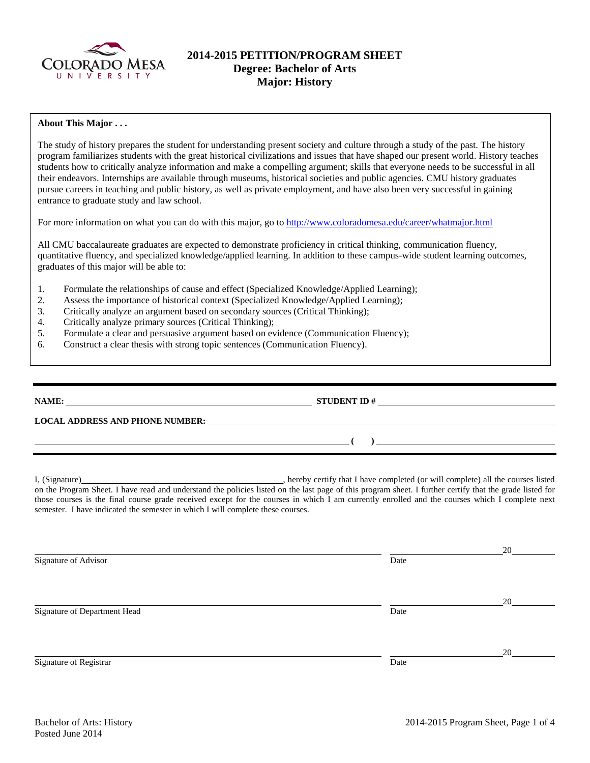

# **2014-2015 PETITION/PROGRAM SHEET Degree: Bachelor of Arts Major: History**

## **About This Major . . .**

The study of history prepares the student for understanding present society and culture through a study of the past. The history program familiarizes students with the great historical civilizations and issues that have shaped our present world. History teaches students how to critically analyze information and make a compelling argument; skills that everyone needs to be successful in all their endeavors. Internships are available through museums, historical societies and public agencies. CMU history graduates pursue careers in teaching and public history, as well as private employment, and have also been very successful in gaining entrance to graduate study and law school.

For more information on what you can do with this major, go to<http://www.coloradomesa.edu/career/whatmajor.html>

All CMU baccalaureate graduates are expected to demonstrate proficiency in critical thinking, communication fluency, quantitative fluency, and specialized knowledge/applied learning. In addition to these campus-wide student learning outcomes, graduates of this major will be able to:

- 1. Formulate the relationships of cause and effect (Specialized Knowledge/Applied Learning);
- 2. Assess the importance of historical context (Specialized Knowledge/Applied Learning);
- 3. Critically analyze an argument based on secondary sources (Critical Thinking);
- 4. Critically analyze primary sources (Critical Thinking);
- 5. Formulate a clear and persuasive argument based on evidence (Communication Fluency);
- 6. Construct a clear thesis with strong topic sentences (Communication Fluency).

| NAME:                                  | <b>STUDENT ID#</b> |
|----------------------------------------|--------------------|
| <b>LOCAL ADDRESS AND PHONE NUMBER:</b> |                    |
|                                        |                    |

I, (Signature) , hereby certify that I have completed (or will complete) all the courses listed on the Program Sheet. I have read and understand the policies listed on the last page of this program sheet. I further certify that the grade listed for those courses is the final course grade received except for the courses in which I am currently enrolled and the courses which I complete next semester. I have indicated the semester in which I will complete these courses.

 20 Signature of Advisor Date **Date**  20 Signature of Department Head Date 20 Signature of Registrar Date and Separature of Registrar Date and Separature of Registrar Date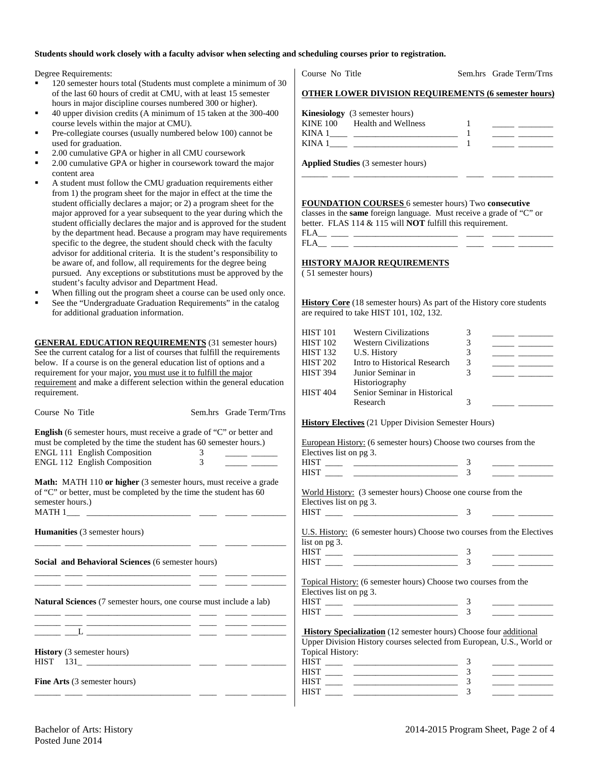#### **Students should work closely with a faculty advisor when selecting and scheduling courses prior to registration.**

Degree Requirements:

- 120 semester hours total (Students must complete a minimum of 30 of the last 60 hours of credit at CMU, with at least 15 semester hours in major discipline courses numbered 300 or higher).
- 40 upper division credits (A minimum of 15 taken at the 300-400 course levels within the major at CMU).
- Pre-collegiate courses (usually numbered below 100) cannot be used for graduation.
- 2.00 cumulative GPA or higher in all CMU coursework
- 2.00 cumulative GPA or higher in coursework toward the major content area
- A student must follow the CMU graduation requirements either from 1) the program sheet for the major in effect at the time the student officially declares a major; or 2) a program sheet for the major approved for a year subsequent to the year during which the student officially declares the major and is approved for the student by the department head. Because a program may have requirements specific to the degree, the student should check with the faculty advisor for additional criteria. It is the student's responsibility to be aware of, and follow, all requirements for the degree being pursued. Any exceptions or substitutions must be approved by the student's faculty advisor and Department Head.
- When filling out the program sheet a course can be used only once.
- See the "Undergraduate Graduation Requirements" in the catalog for additional graduation information.

**GENERAL EDUCATION REQUIREMENTS** (31 semester hours) See the current catalog for a list of courses that fulfill the requirements below. If a course is on the general education list of options and a requirement for your major, you must use it to fulfill the major requirement and make a different selection within the general education requirement.

| Course No Title                                                                                                                                  |   | Sem.hrs Grade Term/Trns |
|--------------------------------------------------------------------------------------------------------------------------------------------------|---|-------------------------|
| <b>English</b> (6 semester hours, must receive a grade of "C" or better and<br>must be completed by the time the student has 60 semester hours.) |   |                         |
| <b>ENGL 111 English Composition</b>                                                                                                              |   |                         |
| <b>ENGL 112 English Composition</b>                                                                                                              | 3 |                         |

**Math:** MATH 110 **or higher** (3 semester hours, must receive a grade of "C" or better, must be completed by the time the student has 60 semester hours.)  $MATH 1$ <sub>\_\_\_\_\_</sub> \_\_

\_\_\_\_\_\_ \_\_\_\_ \_\_\_\_\_\_\_\_\_\_\_\_\_\_\_\_\_\_\_\_\_\_\_\_ \_\_\_\_ \_\_\_\_\_ \_\_\_\_\_\_\_\_

\_\_\_\_\_\_ \_\_\_\_ \_\_\_\_\_\_\_\_\_\_\_\_\_\_\_\_\_\_\_\_\_\_\_\_ \_\_\_\_ \_\_\_\_\_ \_\_\_\_\_\_\_\_ \_\_\_\_\_\_ \_\_\_\_ \_\_\_\_\_\_\_\_\_\_\_\_\_\_\_\_\_\_\_\_\_\_\_\_ \_\_\_\_ \_\_\_\_\_ \_\_\_\_\_\_\_\_

**Humanities** (3 semester hours)

**Social and Behavioral Sciences** (6 semester hours)

**Natural Sciences** (7 semester hours, one course must include a lab)

| _______ |                                                                                                                                                                                                                                                                                                  | _____ |  |
|---------|--------------------------------------------------------------------------------------------------------------------------------------------------------------------------------------------------------------------------------------------------------------------------------------------------|-------|--|
|         |                                                                                                                                                                                                                                                                                                  |       |  |
|         | $\mathbf{L}$ and $\mathbf{L}$ and $\mathbf{L}$ and $\mathbf{L}$ and $\mathbf{L}$ and $\mathbf{L}$ and $\mathbf{L}$ and $\mathbf{L}$ and $\mathbf{L}$ and $\mathbf{L}$ and $\mathbf{L}$ and $\mathbf{L}$ and $\mathbf{L}$ and $\mathbf{L}$ and $\mathbf{L}$ and $\mathbf{L}$ and $\mathbf{L}$ and | _____ |  |

\_\_\_\_\_\_ \_\_\_\_ \_\_\_\_\_\_\_\_\_\_\_\_\_\_\_\_\_\_\_\_\_\_\_\_ \_\_\_\_ \_\_\_\_\_ \_\_\_\_\_\_\_\_

**History** (3 semester hours)

HIST 131\_ \_\_\_\_\_\_\_\_\_\_\_\_\_\_\_\_\_\_\_\_\_\_\_\_ \_\_\_\_ \_\_\_\_\_ \_\_\_\_\_\_\_\_

**Fine Arts** (3 semester hours)

Course No Title Sem.hrs Grade Term/Trns

## **OTHER LOWER DIVISION REQUIREMENTS (6 semester hours)**

|        | <b>Kinesiology</b> (3 semester hours) |  |
|--------|---------------------------------------|--|
|        | KINE 100 Health and Wellness          |  |
| KINA 1 |                                       |  |
| KINA 1 |                                       |  |

\_\_\_\_\_\_ \_\_\_\_ \_\_\_\_\_\_\_\_\_\_\_\_\_\_\_\_\_\_\_\_\_\_\_\_ \_\_\_\_ \_\_\_\_\_ \_\_\_\_\_\_\_\_

**Applied Studies** (3 semester hours)

**FOUNDATION COURSES** 6 semester hours) Two **consecutive**

classes in the **same** foreign language. Must receive a grade of "C" or better. FLAS 114 & 115 will **NOT** fulfill this requirement.

FLA\_\_ \_\_\_\_ \_\_\_\_\_\_\_\_\_\_\_\_\_\_\_\_\_\_\_\_\_\_\_\_ \_\_\_\_ \_\_\_\_\_ \_\_\_\_\_\_\_\_  $FLA$ <sub>\_\_\_</sub> \_\_\_

### **HISTORY MAJOR REQUIREMENTS**

( 51 semester hours)

**History Core** (18 semester hours) As part of the History core students are required to take HIST 101, 102, 132.

| HIST 101        | <b>Western Civilizations</b> |   |  |
|-----------------|------------------------------|---|--|
| <b>HIST 102</b> | <b>Western Civilizations</b> |   |  |
| HIST 132        | U.S. History                 | 3 |  |
| HIST 202        | Intro to Historical Research | 3 |  |
| HIST 394        | Junior Seminar in            |   |  |
|                 | Historiography               |   |  |
| <b>HIST 404</b> | Senior Seminar in Historical |   |  |
|                 | Research                     |   |  |
|                 |                              |   |  |

**History Electives** (21 Upper Division Semester Hours)

| European History: (6 semester hours) Choose two courses from the |  |  |
|------------------------------------------------------------------|--|--|
| Electives list on pg 3.                                          |  |  |
| HIST                                                             |  |  |
| HIST                                                             |  |  |

World History: (3 semester hours) Choose one course from the Electives list on pg 3. HIST \_\_\_\_ \_\_\_\_\_\_\_\_\_\_\_\_\_\_\_\_\_\_\_\_\_\_\_\_ 3 \_\_\_\_\_ \_\_\_\_\_\_\_\_

U.S. History: (6 semester hours) Choose two courses from the Electives list on pg 3.

| -- | ,我们也不会有什么?""我们的人,我们也不会有什么?""我们的人,我们也不会有什么?""我们的人,我们也不会有什么?""我们的人,我们也不会有什么?""我们的人 |  |  |
|----|----------------------------------------------------------------------------------|--|--|
|    |                                                                                  |  |  |

Topical History: (6 semester hours) Choose two courses from the Electives list on pg 3.

| --  |  |  |  |
|-----|--|--|--|
| --- |  |  |  |

**History Specialization** (12 semester hours) Choose four additional Upper Division History courses selected from European, U.S., World or

|  | Topical History: |
|--|------------------|

| roprear ringtory. |  |  |
|-------------------|--|--|
| HIST              |  |  |
| HIST              |  |  |
| HIST              |  |  |
|                   |  |  |
|                   |  |  |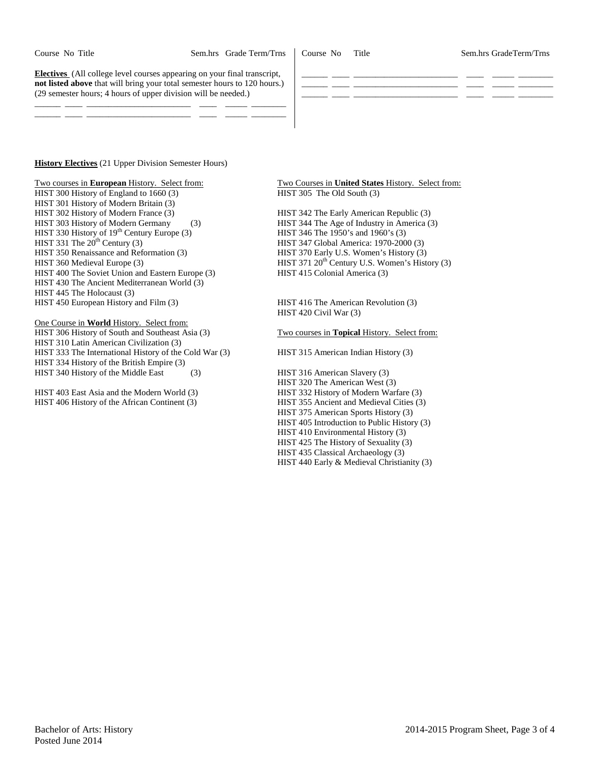Course No Title Sem.hrs GradeTerm/Trns

**Electives** (All college level courses appearing on your final transcript, **not listed above** that will bring your total semester hours to 120 hours.) (29 semester hours; 4 hours of upper division will be needed.)

\_\_\_\_\_\_ \_\_\_\_ \_\_\_\_\_\_\_\_\_\_\_\_\_\_\_\_\_\_\_\_\_\_\_\_ \_\_\_\_ \_\_\_\_\_ \_\_\_\_\_\_\_\_ \_\_\_\_\_\_ \_\_\_\_ \_\_\_\_\_\_\_\_\_\_\_\_\_\_\_\_\_\_\_\_\_\_\_\_ \_\_\_\_ \_\_\_\_\_ \_\_\_\_\_\_\_\_

**History Electives** (21 Upper Division Semester Hours)

HIST 300 History of England to 1660 (3) HIST 305 The Old South (3) HIST 301 History of Modern Britain (3) HIST 302 History of Modern France (3) HIST 342 The Early American Republic (3) HIST 303 History of Modern Germany (3) HIST 344 The Age of Industry in America (3) HIST 330 History of 19<sup>th</sup> Century Europe (3) HIST 346 The 1950's and 1960's (3) HIST 330 History of  $19<sup>th</sup>$  Century Europe (3)<br>HIST 331 The  $20<sup>th</sup>$  Century (3) HIST 350 Renaissance and Reformation (3) HIST 360 Medieval Europe (3) HIST 371 20<sup>th</sup> Century U.S. Women's History (3) HIST 400 The Soviet Union and Eastern Europe (3) HIST 415 Colonial America (3) HIST 400 The Soviet Union and Eastern Europe (3) HIST 430 The Ancient Mediterranean World (3) HIST 445 The Holocaust (3) HIST 450 European History and Film (3) HIST 416 The American Revolution (3)

One Course in **World** History. Select from: HIST 306 History of South and Southeast Asia (3) Two courses in **Topical** History. Select from: HIST 310 Latin American Civilization (3) HIST 333 The International History of the Cold War (3) HIST 315 American Indian History (3) HIST 334 History of the British Empire (3) HIST 340 History of the Middle East (3) HIST 316 American Slavery (3)

HIST 403 East Asia and the Modern World (3) HIST 332 History of Modern Warfare (3)<br>HIST 406 History of the African Continent (3) HIST 355 Ancient and Medieval Cities (3) HIST 406 History of the African Continent (3)

Two courses in **European** History. Select from: Two Courses in **United States** History. Select from:

\_\_\_\_\_\_ \_\_\_\_ \_\_\_\_\_\_\_\_\_\_\_\_\_\_\_\_\_\_\_\_\_\_\_\_ \_\_\_\_ \_\_\_\_\_ \_\_\_\_\_\_\_\_ \_\_\_\_\_\_ \_\_\_\_ \_\_\_\_\_\_\_\_\_\_\_\_\_\_\_\_\_\_\_\_\_\_\_\_ \_\_\_\_ \_\_\_\_\_ \_\_\_\_\_\_\_\_ \_\_\_\_\_\_ \_\_\_\_ \_\_\_\_\_\_\_\_\_\_\_\_\_\_\_\_\_\_\_\_\_\_\_\_ \_\_\_\_ \_\_\_\_\_ \_\_\_\_\_\_\_\_

HIST 347 Global America: 1970-2000 (3)<br>HIST 370 Early U.S. Women's History (3)

HIST 420 Civil War (3)

HIST 320 The American West (3)<br>HIST 332 History of Modern Warfare (3) HIST 375 American Sports History (3) HIST 405 Introduction to Public History (3) HIST 410 Environmental History (3) HIST 425 The History of Sexuality (3) HIST 435 Classical Archaeology (3) HIST 440 Early & Medieval Christianity (3)